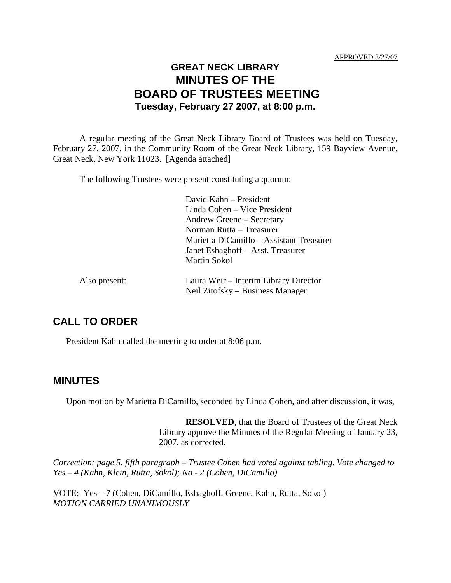# **GREAT NECK LIBRARY MINUTES OF THE BOARD OF TRUSTEES MEETING Tuesday, February 27 2007, at 8:00 p.m.**

A regular meeting of the Great Neck Library Board of Trustees was held on Tuesday, February 27, 2007, in the Community Room of the Great Neck Library, 159 Bayview Avenue, Great Neck, New York 11023. [Agenda attached]

The following Trustees were present constituting a quorum:

|               | David Kahn – President<br>Linda Cohen – Vice President<br>Andrew Greene – Secretary<br>Norman Rutta – Treasurer<br>Marietta DiCamillo – Assistant Treasurer<br>Janet Eshaghoff - Asst. Treasurer<br><b>Martin Sokol</b> |
|---------------|-------------------------------------------------------------------------------------------------------------------------------------------------------------------------------------------------------------------------|
| Also present: | Laura Weir – Interim Library Director<br>Neil Zitofsky – Business Manager                                                                                                                                               |

## **CALL TO ORDER**

President Kahn called the meeting to order at 8:06 p.m.

### **MINUTES**

Upon motion by Marietta DiCamillo, seconded by Linda Cohen, and after discussion, it was,

**RESOLVED**, that the Board of Trustees of the Great Neck Library approve the Minutes of the Regular Meeting of January 23, 2007, as corrected.

*Correction: page 5, fifth paragraph – Trustee Cohen had voted against tabling. Vote changed to Yes – 4 (Kahn, Klein, Rutta, Sokol); No - 2 (Cohen, DiCamillo)*

VOTE:Yes – 7 (Cohen, DiCamillo, Eshaghoff, Greene, Kahn, Rutta, Sokol) *MOTION CARRIED UNANIMOUSLY*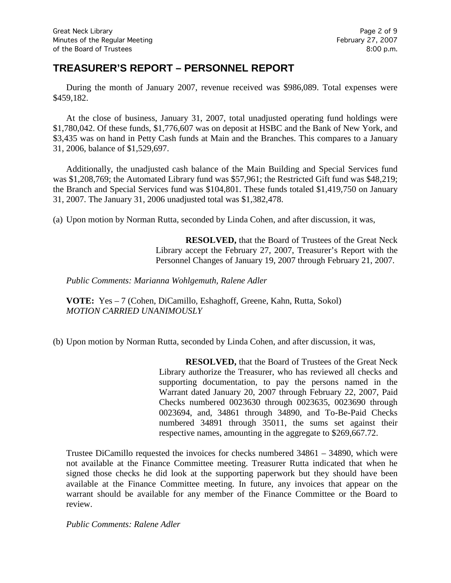## **TREASURER'S REPORT – PERSONNEL REPORT**

During the month of January 2007, revenue received was \$986,089. Total expenses were \$459,182.

At the close of business, January 31, 2007, total unadjusted operating fund holdings were \$1,780,042. Of these funds, \$1,776,607 was on deposit at HSBC and the Bank of New York, and \$3,435 was on hand in Petty Cash funds at Main and the Branches. This compares to a January 31, 2006, balance of \$1,529,697.

Additionally, the unadjusted cash balance of the Main Building and Special Services fund was \$1,208,769; the Automated Library fund was \$57,961; the Restricted Gift fund was \$48,219; the Branch and Special Services fund was \$104,801. These funds totaled \$1,419,750 on January 31, 2007. The January 31, 2006 unadjusted total was \$1,382,478.

(a) Upon motion by Norman Rutta, seconded by Linda Cohen, and after discussion, it was,

**RESOLVED,** that the Board of Trustees of the Great Neck Library accept the February 27, 2007, Treasurer's Report with the Personnel Changes of January 19, 2007 through February 21, 2007.

*Public Comments: Marianna Wohlgemuth, Ralene Adler*

**VOTE:** Yes – 7 (Cohen, DiCamillo, Eshaghoff, Greene, Kahn, Rutta, Sokol) *MOTION CARRIED UNANIMOUSLY*

(b) Upon motion by Norman Rutta, seconded by Linda Cohen, and after discussion, it was,

**RESOLVED,** that the Board of Trustees of the Great Neck Library authorize the Treasurer, who has reviewed all checks and supporting documentation, to pay the persons named in the Warrant dated January 20, 2007 through February 22, 2007, Paid Checks numbered 0023630 through 0023635, 0023690 through 0023694, and, 34861 through 34890, and To-Be-Paid Checks numbered 34891 through 35011, the sums set against their respective names, amounting in the aggregate to \$269,667.72.

Trustee DiCamillo requested the invoices for checks numbered 34861 – 34890, which were not available at the Finance Committee meeting. Treasurer Rutta indicated that when he signed those checks he did look at the supporting paperwork but they should have been available at the Finance Committee meeting. In future, any invoices that appear on the warrant should be available for any member of the Finance Committee or the Board to review.

*Public Comments: Ralene Adler*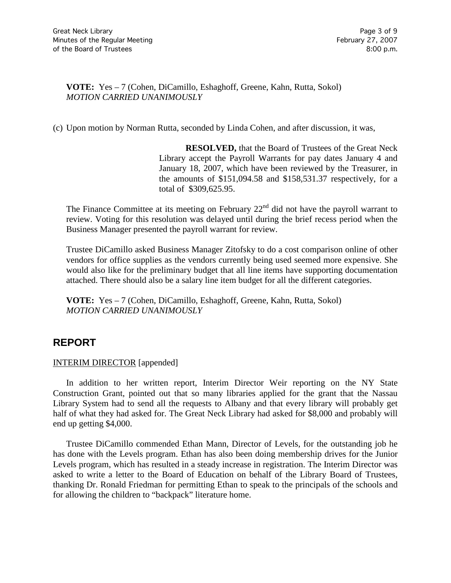**VOTE:** Yes – 7 (Cohen, DiCamillo, Eshaghoff, Greene, Kahn, Rutta, Sokol) *MOTION CARRIED UNANIMOUSLY*

(c) Upon motion by Norman Rutta, seconded by Linda Cohen, and after discussion, it was,

**RESOLVED,** that the Board of Trustees of the Great Neck Library accept the Payroll Warrants for pay dates January 4 and January 18, 2007, which have been reviewed by the Treasurer, in the amounts of \$151,094.58 and \$158,531.37 respectively, for a total of \$309,625.95.

The Finance Committee at its meeting on February  $22<sup>nd</sup>$  did not have the payroll warrant to review. Voting for this resolution was delayed until during the brief recess period when the Business Manager presented the payroll warrant for review.

Trustee DiCamillo asked Business Manager Zitofsky to do a cost comparison online of other vendors for office supplies as the vendors currently being used seemed more expensive. She would also like for the preliminary budget that all line items have supporting documentation attached. There should also be a salary line item budget for all the different categories.

**VOTE:** Yes – 7 (Cohen, DiCamillo, Eshaghoff, Greene, Kahn, Rutta, Sokol) *MOTION CARRIED UNANIMOUSLY*

# **REPORT**

#### INTERIM DIRECTOR [appended]

In addition to her written report, Interim Director Weir reporting on the NY State Construction Grant, pointed out that so many libraries applied for the grant that the Nassau Library System had to send all the requests to Albany and that every library will probably get half of what they had asked for. The Great Neck Library had asked for \$8,000 and probably will end up getting \$4,000.

Trustee DiCamillo commended Ethan Mann, Director of Levels, for the outstanding job he has done with the Levels program. Ethan has also been doing membership drives for the Junior Levels program, which has resulted in a steady increase in registration. The Interim Director was asked to write a letter to the Board of Education on behalf of the Library Board of Trustees, thanking Dr. Ronald Friedman for permitting Ethan to speak to the principals of the schools and for allowing the children to "backpack" literature home.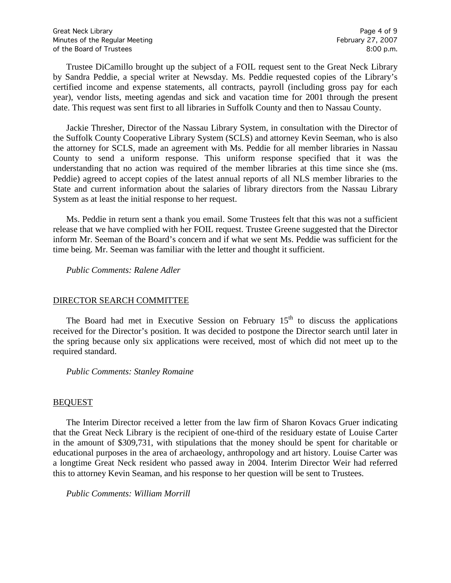Trustee DiCamillo brought up the subject of a FOIL request sent to the Great Neck Library by Sandra Peddie, a special writer at Newsday. Ms. Peddie requested copies of the Library's certified income and expense statements, all contracts, payroll (including gross pay for each year), vendor lists, meeting agendas and sick and vacation time for 2001 through the present date. This request was sent first to all libraries in Suffolk County and then to Nassau County.

Jackie Thresher, Director of the Nassau Library System, in consultation with the Director of the Suffolk County Cooperative Library System (SCLS) and attorney Kevin Seeman, who is also the attorney for SCLS, made an agreement with Ms. Peddie for all member libraries in Nassau County to send a uniform response. This uniform response specified that it was the understanding that no action was required of the member libraries at this time since she (ms. Peddie) agreed to accept copies of the latest annual reports of all NLS member libraries to the State and current information about the salaries of library directors from the Nassau Library System as at least the initial response to her request.

Ms. Peddie in return sent a thank you email. Some Trustees felt that this was not a sufficient release that we have complied with her FOIL request. Trustee Greene suggested that the Director inform Mr. Seeman of the Board's concern and if what we sent Ms. Peddie was sufficient for the time being. Mr. Seeman was familiar with the letter and thought it sufficient.

*Public Comments: Ralene Adler*

#### DIRECTOR SEARCH COMMITTEE

The Board had met in Executive Session on February  $15<sup>th</sup>$  to discuss the applications received for the Director's position. It was decided to postpone the Director search until later in the spring because only six applications were received, most of which did not meet up to the required standard.

*Public Comments: Stanley Romaine*

#### BEQUEST

The Interim Director received a letter from the law firm of Sharon Kovacs Gruer indicating that the Great Neck Library is the recipient of one-third of the residuary estate of Louise Carter in the amount of \$309,731, with stipulations that the money should be spent for charitable or educational purposes in the area of archaeology, anthropology and art history. Louise Carter was a longtime Great Neck resident who passed away in 2004. Interim Director Weir had referred this to attorney Kevin Seaman, and his response to her question will be sent to Trustees.

*Public Comments: William Morrill*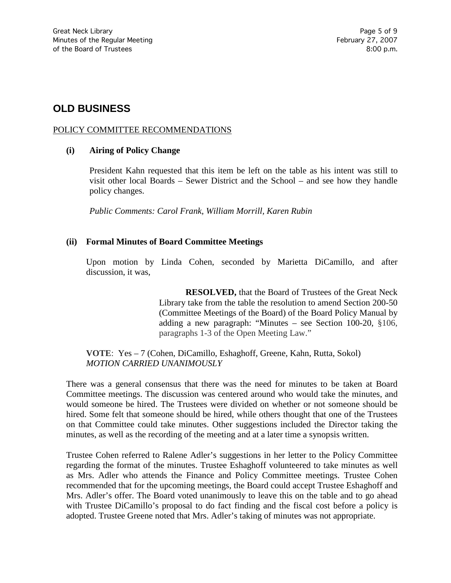# **OLD BUSINESS**

#### POLICY COMMITTEE RECOMMENDATIONS

#### **(i) Airing of Policy Change**

President Kahn requested that this item be left on the table as his intent was still to visit other local Boards – Sewer District and the School – and see how they handle policy changes.

*Public Comments: Carol Frank, William Morrill, Karen Rubin*

#### **(ii) Formal Minutes of Board Committee Meetings**

Upon motion by Linda Cohen, seconded by Marietta DiCamillo, and after discussion, it was,

> **RESOLVED,** that the Board of Trustees of the Great Neck Library take from the table the resolution to amend Section 200-50 (Committee Meetings of the Board) of the Board Policy Manual by adding a new paragraph: "Minutes – see Section 100-20, §106, paragraphs 1-3 of the Open Meeting Law."

**VOTE**: Yes – 7 (Cohen, DiCamillo, Eshaghoff, Greene, Kahn, Rutta, Sokol) *MOTION CARRIED UNANIMOUSLY*

There was a general consensus that there was the need for minutes to be taken at Board Committee meetings. The discussion was centered around who would take the minutes, and would someone be hired. The Trustees were divided on whether or not someone should be hired. Some felt that someone should be hired, while others thought that one of the Trustees on that Committee could take minutes. Other suggestions included the Director taking the minutes, as well as the recording of the meeting and at a later time a synopsis written.

Trustee Cohen referred to Ralene Adler's suggestions in her letter to the Policy Committee regarding the format of the minutes. Trustee Eshaghoff volunteered to take minutes as well as Mrs. Adler who attends the Finance and Policy Committee meetings. Trustee Cohen recommended that for the upcoming meetings, the Board could accept Trustee Eshaghoff and Mrs. Adler's offer. The Board voted unanimously to leave this on the table and to go ahead with Trustee DiCamillo's proposal to do fact finding and the fiscal cost before a policy is adopted. Trustee Greene noted that Mrs. Adler's taking of minutes was not appropriate.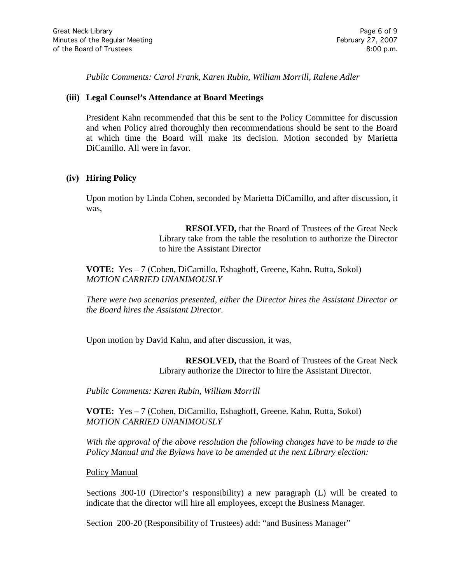*Public Comments: Carol Frank, Karen Rubin, William Morrill, Ralene Adler*

#### **(iii) Legal Counsel's Attendance at Board Meetings**

President Kahn recommended that this be sent to the Policy Committee for discussion and when Policy aired thoroughly then recommendations should be sent to the Board at which time the Board will make its decision. Motion seconded by Marietta DiCamillo. All were in favor.

#### **(iv) Hiring Policy**

Upon motion by Linda Cohen, seconded by Marietta DiCamillo, and after discussion, it was,

> **RESOLVED,** that the Board of Trustees of the Great Neck Library take from the table the resolution to authorize the Director to hire the Assistant Director

**VOTE:** Yes – 7 (Cohen, DiCamillo, Eshaghoff, Greene, Kahn, Rutta, Sokol) *MOTION CARRIED UNANIMOUSLY*

*There were two scenarios presented, either the Director hires the Assistant Director or the Board hires the Assistant Director*.

Upon motion by David Kahn, and after discussion, it was,

**RESOLVED,** that the Board of Trustees of the Great Neck Library authorize the Director to hire the Assistant Director.

*Public Comments: Karen Rubin, William Morrill*

**VOTE:** Yes – 7 (Cohen, DiCamillo, Eshaghoff, Greene. Kahn, Rutta, Sokol) *MOTION CARRIED UNANIMOUSLY*

*With the approval of the above resolution the following changes have to be made to the Policy Manual and the Bylaws have to be amended at the next Library election:*

#### Policy Manual

Sections 300-10 (Director's responsibility) a new paragraph (L) will be created to indicate that the director will hire all employees, except the Business Manager.

Section 200-20 (Responsibility of Trustees) add: "and Business Manager"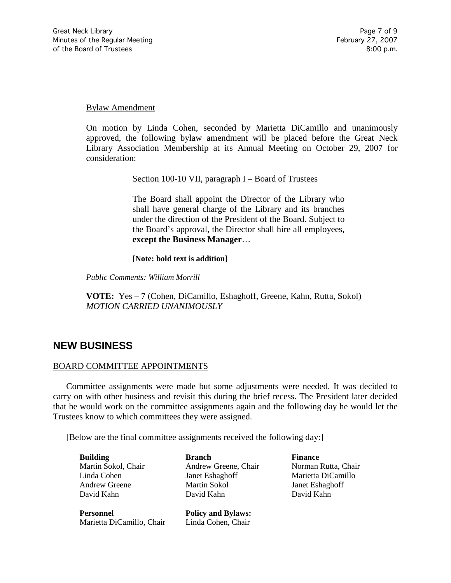#### Bylaw Amendment

On motion by Linda Cohen, seconded by Marietta DiCamillo and unanimously approved, the following bylaw amendment will be placed before the Great Neck Library Association Membership at its Annual Meeting on October 29, 2007 for consideration:

#### Section 100-10 VII, paragraph I – Board of Trustees

The Board shall appoint the Director of the Library who shall have general charge of the Library and its branches under the direction of the President of the Board. Subject to the Board's approval, the Director shall hire all employees, **except the Business Manager**…

#### **[Note: bold text is addition]**

*Public Comments: William Morrill*

**VOTE:** Yes – 7 (Cohen, DiCamillo, Eshaghoff, Greene, Kahn, Rutta, Sokol) *MOTION CARRIED UNANIMOUSLY*

## **NEW BUSINESS**

#### BOARD COMMITTEE APPOINTMENTS

Committee assignments were made but some adjustments were needed. It was decided to carry on with other business and revisit this during the brief recess. The President later decided that he would work on the committee assignments again and the following day he would let the Trustees know to which committees they were assigned.

[Below are the final committee assignments received the following day:]

**Building Branch Branch Finance** Martin Sokol, Chair **Andrew Greene, Chair** Norman Rutta, Chair Linda Cohen Janet Eshaghoff Marietta DiCamillo Andrew Greene Martin Sokol Janet Eshaghoff David Kahn David Kahn David Kahn

**Personnel Policy and Bylaws:** Marietta DiCamillo, Chair Linda Cohen, Chair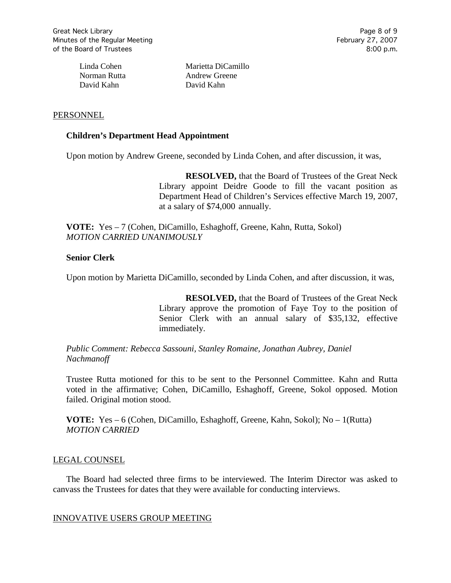David Kahn David Kahn

Linda Cohen Marietta DiCamillo Norman Rutta **Andrew Greene** 

#### **PERSONNEL**

#### **Children's Department Head Appointment**

Upon motion by Andrew Greene, seconded by Linda Cohen, and after discussion, it was,

**RESOLVED,** that the Board of Trustees of the Great Neck Library appoint Deidre Goode to fill the vacant position as Department Head of Children's Services effective March 19, 2007, at a salary of \$74,000 annually.

**VOTE:** Yes – 7 (Cohen, DiCamillo, Eshaghoff, Greene, Kahn, Rutta, Sokol) *MOTION CARRIED UNANIMOUSLY*

#### **Senior Clerk**

Upon motion by Marietta DiCamillo, seconded by Linda Cohen, and after discussion, it was,

**RESOLVED,** that the Board of Trustees of the Great Neck Library approve the promotion of Faye Toy to the position of Senior Clerk with an annual salary of \$35,132, effective immediately.

*Public Comment: Rebecca Sassouni, Stanley Romaine, Jonathan Aubrey, Daniel Nachmanoff*

Trustee Rutta motioned for this to be sent to the Personnel Committee. Kahn and Rutta voted in the affirmative; Cohen, DiCamillo, Eshaghoff, Greene, Sokol opposed. Motion failed. Original motion stood.

**VOTE:** Yes – 6 (Cohen, DiCamillo, Eshaghoff, Greene, Kahn, Sokol); No – 1(Rutta) *MOTION CARRIED*

#### LEGAL COUNSEL

The Board had selected three firms to be interviewed. The Interim Director was asked to canvass the Trustees for dates that they were available for conducting interviews.

#### INNOVATIVE USERS GROUP MEETING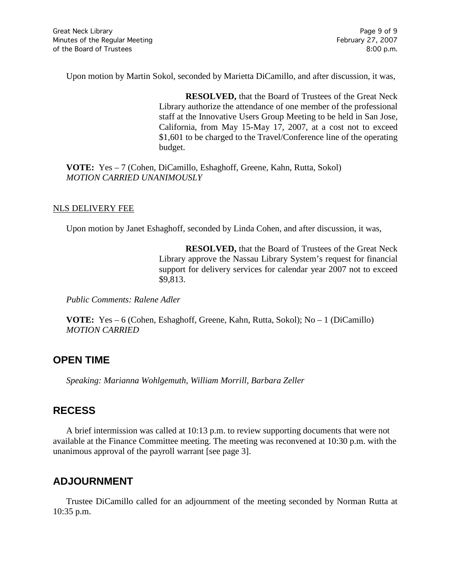Upon motion by Martin Sokol, seconded by Marietta DiCamillo, and after discussion, it was,

**RESOLVED,** that the Board of Trustees of the Great Neck Library authorize the attendance of one member of the professional staff at the Innovative Users Group Meeting to be held in San Jose, California, from May 15-May 17, 2007, at a cost not to exceed \$1,601 to be charged to the Travel/Conference line of the operating budget.

**VOTE:** Yes – 7 (Cohen, DiCamillo, Eshaghoff, Greene, Kahn, Rutta, Sokol) *MOTION CARRIED UNANIMOUSLY*

#### NLS DELIVERY FEE

Upon motion by Janet Eshaghoff, seconded by Linda Cohen, and after discussion, it was,

**RESOLVED,** that the Board of Trustees of the Great Neck Library approve the Nassau Library System's request for financial support for delivery services for calendar year 2007 not to exceed \$9,813.

*Public Comments: Ralene Adler*

**VOTE:** Yes – 6 (Cohen, Eshaghoff, Greene, Kahn, Rutta, Sokol); No – 1 (DiCamillo) *MOTION CARRIED* 

## **OPEN TIME**

*Speaking: Marianna Wohlgemuth, William Morrill, Barbara Zeller*

## **RECESS**

A brief intermission was called at 10:13 p.m. to review supporting documents that were not available at the Finance Committee meeting. The meeting was reconvened at 10:30 p.m. with the unanimous approval of the payroll warrant [see page 3].

## **ADJOURNMENT**

Trustee DiCamillo called for an adjournment of the meeting seconded by Norman Rutta at 10:35 p.m.